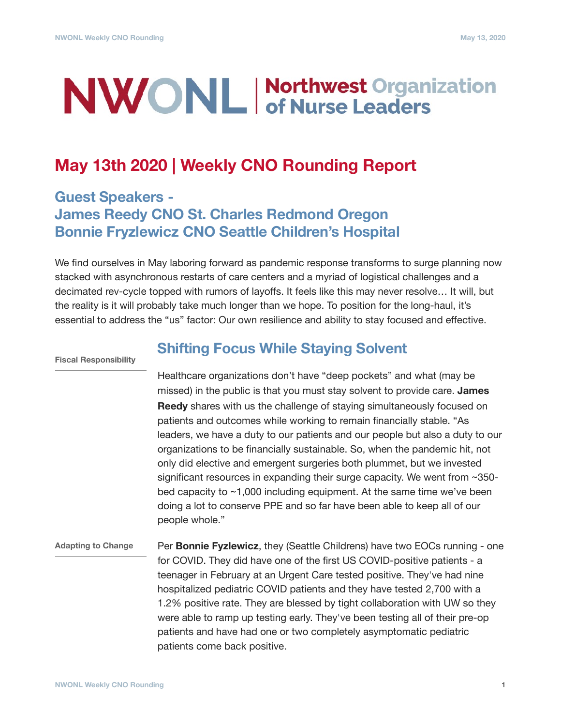# **NWONL Morthwest Organization**

## **May 13th 2020 | Weekly CNO Rounding Report**

### **Guest Speakers - James Reedy CNO St. Charles Redmond Oregon Bonnie Fryzlewicz CNO Seattle Children's Hospital**

We find ourselves in May laboring forward as pandemic response transforms to surge planning now stacked with asynchronous restarts of care centers and a myriad of logistical challenges and a decimated rev-cycle topped with rumors of layoffs. It feels like this may never resolve… It will, but the reality is it will probably take much longer than we hope. To position for the long-haul, it's essential to address the "us" factor: Our own resilience and ability to stay focused and effective.

**Fiscal Responsibility**

#### **Shifting Focus While Staying Solvent**

Healthcare organizations don't have "deep pockets" and what (may be missed) in the public is that you must stay solvent to provide care. **James Reedy** shares with us the challenge of staying simultaneously focused on patients and outcomes while working to remain financially stable. "As leaders, we have a duty to our patients and our people but also a duty to our organizations to be financially sustainable. So, when the pandemic hit, not only did elective and emergent surgeries both plummet, but we invested significant resources in expanding their surge capacity. We went from ~350 bed capacity to ~1,000 including equipment. At the same time we've been doing a lot to conserve PPE and so far have been able to keep all of our people whole."

#### Per **Bonnie Fyzlewicz**, they (Seattle Childrens) have two EOCs running - one for COVID. They did have one of the first US COVID-positive patients - a teenager in February at an Urgent Care tested positive. They've had nine hospitalized pediatric COVID patients and they have tested 2,700 with a 1.2% positive rate. They are blessed by tight collaboration with UW so they were able to ramp up testing early. They've been testing all of their pre-op patients and have had one or two completely asymptomatic pediatric patients come back positive. **Adapting to Change**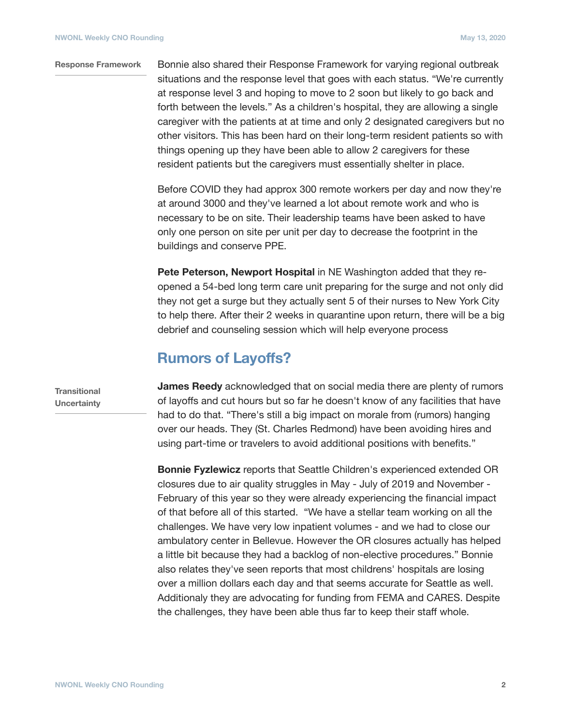#### Bonnie also shared their Response Framework for varying regional outbreak situations and the response level that goes with each status. "We're currently at response level 3 and hoping to move to 2 soon but likely to go back and forth between the levels." As a children's hospital, they are allowing a single caregiver with the patients at at time and only 2 designated caregivers but no other visitors. This has been hard on their long-term resident patients so with things opening up they have been able to allow 2 caregivers for these resident patients but the caregivers must essentially shelter in place. **Response Framework**

Before COVID they had approx 300 remote workers per day and now they're at around 3000 and they've learned a lot about remote work and who is necessary to be on site. Their leadership teams have been asked to have only one person on site per unit per day to decrease the footprint in the buildings and conserve PPE.

**Pete Peterson, Newport Hospital** in NE Washington added that they reopened a 54-bed long term care unit preparing for the surge and not only did they not get a surge but they actually sent 5 of their nurses to New York City to help there. After their 2 weeks in quarantine upon return, there will be a big debrief and counseling session which will help everyone process

#### **Rumors of Layoffs?**

**Transitional Uncertainty** **James Reedy** acknowledged that on social media there are plenty of rumors of layoffs and cut hours but so far he doesn't know of any facilities that have had to do that. "There's still a big impact on morale from (rumors) hanging over our heads. They (St. Charles Redmond) have been avoiding hires and using part-time or travelers to avoid additional positions with benefits."

**Bonnie Fyzlewicz** reports that Seattle Children's experienced extended OR closures due to air quality struggles in May - July of 2019 and November - February of this year so they were already experiencing the financial impact of that before all of this started. "We have a stellar team working on all the challenges. We have very low inpatient volumes - and we had to close our ambulatory center in Bellevue. However the OR closures actually has helped a little bit because they had a backlog of non-elective procedures." Bonnie also relates they've seen reports that most childrens' hospitals are losing over a million dollars each day and that seems accurate for Seattle as well. Additionaly they are advocating for funding from FEMA and CARES. Despite the challenges, they have been able thus far to keep their staff whole.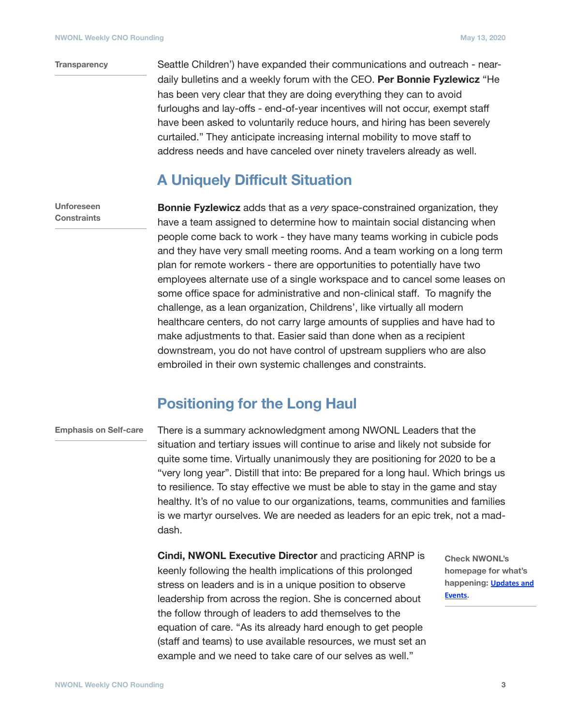#### **Transparency**

Seattle Children') have expanded their communications and outreach - neardaily bulletins and a weekly forum with the CEO. **Per Bonnie Fyzlewicz** "He has been very clear that they are doing everything they can to avoid furloughs and lay-offs - end-of-year incentives will not occur, exempt staff have been asked to voluntarily reduce hours, and hiring has been severely curtailed." They anticipate increasing internal mobility to move staff to address needs and have canceled over ninety travelers already as well.

#### **A Uniquely Difficult Situation**

**Unforeseen Constraints**

**Bonnie Fyzlewicz** adds that as a *very* space-constrained organization, they have a team assigned to determine how to maintain social distancing when people come back to work - they have many teams working in cubicle pods and they have very small meeting rooms. And a team working on a long term plan for remote workers - there are opportunities to potentially have two employees alternate use of a single workspace and to cancel some leases on some office space for administrative and non-clinical staff. To magnify the challenge, as a lean organization, Childrens', like virtually all modern healthcare centers, do not carry large amounts of supplies and have had to make adjustments to that. Easier said than done when as a recipient downstream, you do not have control of upstream suppliers who are also embroiled in their own systemic challenges and constraints.

#### **Positioning for the Long Haul**

#### **Emphasis on Self-care**

There is a summary acknowledgment among NWONL Leaders that the situation and tertiary issues will continue to arise and likely not subside for quite some time. Virtually unanimously they are positioning for 2020 to be a "very long year". Distill that into: Be prepared for a long haul. Which brings us to resilience. To stay effective we must be able to stay in the game and stay healthy. It's of no value to our organizations, teams, communities and families is we martyr ourselves. We are needed as leaders for an epic trek, not a maddash.

**Cindi, NWONL Executive Director** and practicing ARNP is keenly following the health implications of this prolonged stress on leaders and is in a unique position to observe leadership from across the region. She is concerned about the follow through of leaders to add themselves to the equation of care. "As its already hard enough to get people (staff and teams) to use available resources, we must set an example and we need to take care of our selves as well."

**Check NWONL's homepage for what's happening: Updates and [Events.](https://nwonl.org)**